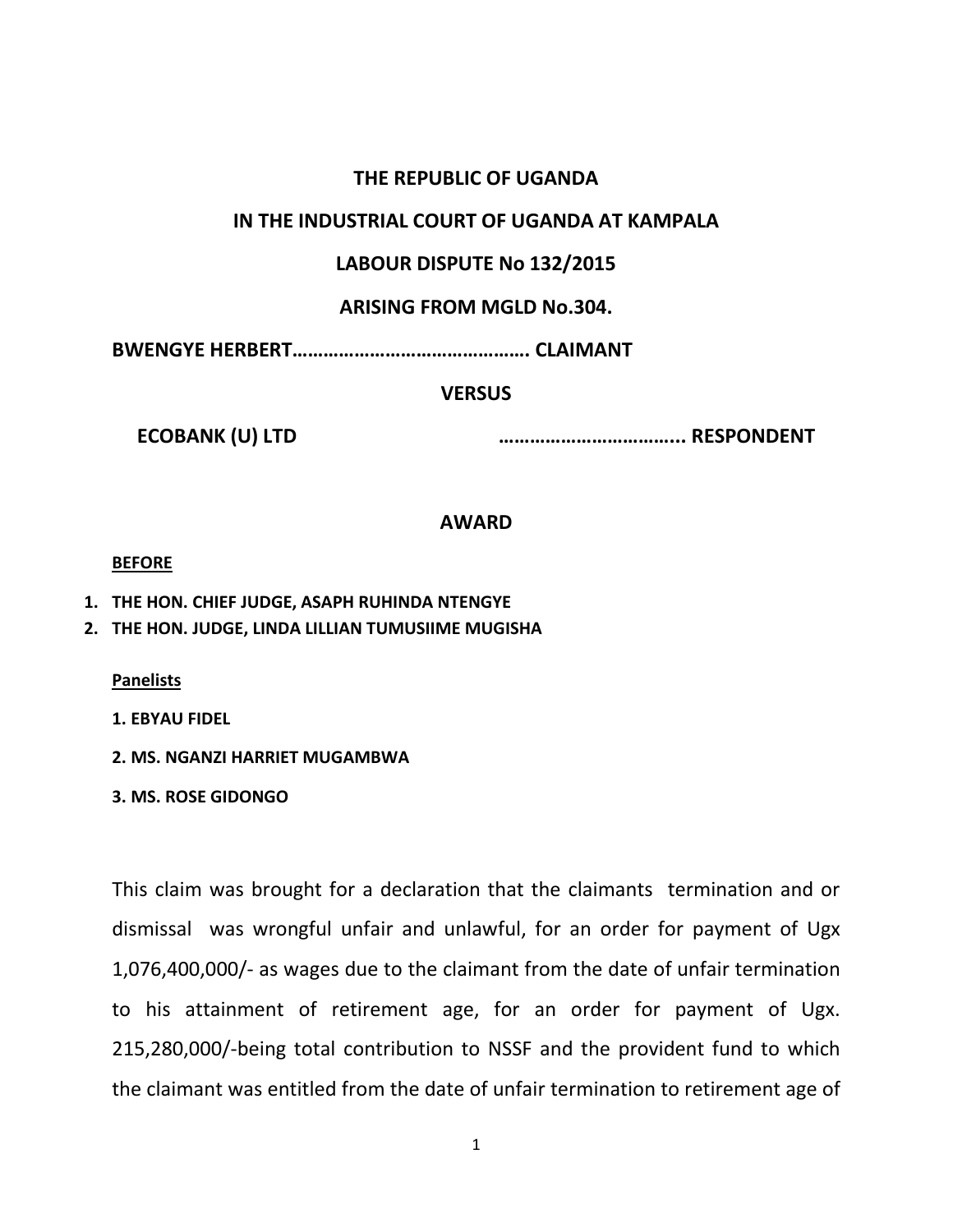## **THE REPUBLIC OF UGANDA**

# **IN THE INDUSTRIAL COURT OF UGANDA AT KAMPALA**

# **LABOUR DISPUTE No 132/2015**

# **ARISING FROM MGLD No.304.**

**BWENGYE HERBERT………………………………………. CLAIMANT**

# **VERSUS**

**ECOBANK (U) LTD ……………………………... RESPONDENT**

## **AWARD**

#### **BEFORE**

- **1. THE HON. CHIEF JUDGE, ASAPH RUHINDA NTENGYE**
- **2. THE HON. JUDGE, LINDA LILLIAN TUMUSIIME MUGISHA**

**Panelists**

**1. EBYAU FIDEL**

- **2. MS. NGANZI HARRIET MUGAMBWA**
- **3. MS. ROSE GIDONGO**

This claim was brought for a declaration that the claimants termination and or dismissal was wrongful unfair and unlawful, for an order for payment of Ugx 1,076,400,000/- as wages due to the claimant from the date of unfair termination to his attainment of retirement age, for an order for payment of Ugx. 215,280,000/-being total contribution to NSSF and the provident fund to which the claimant was entitled from the date of unfair termination to retirement age of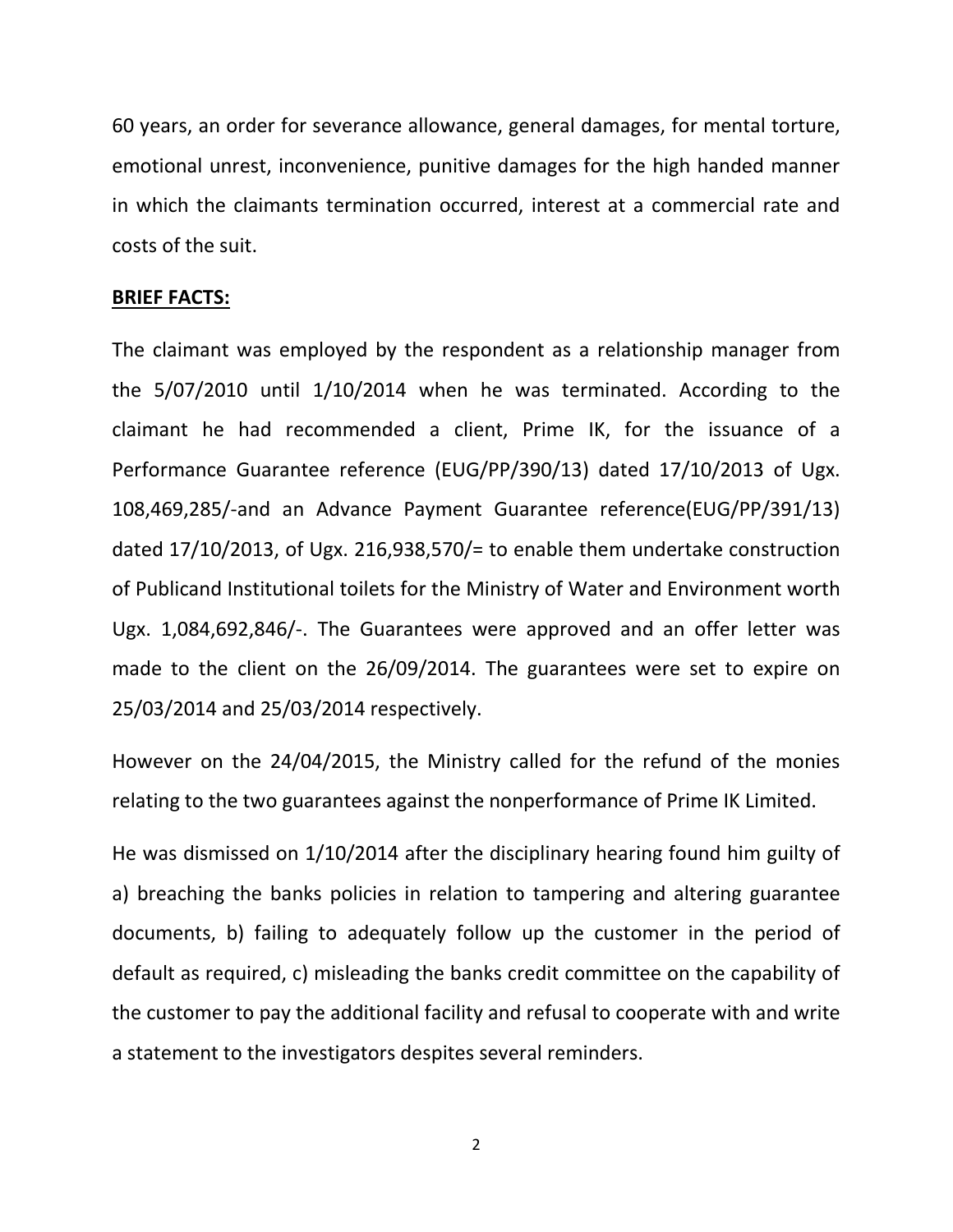60 years, an order for severance allowance, general damages, for mental torture, emotional unrest, inconvenience, punitive damages for the high handed manner in which the claimants termination occurred, interest at a commercial rate and costs of the suit.

#### **BRIEF FACTS:**

The claimant was employed by the respondent as a relationship manager from the 5/07/2010 until 1/10/2014 when he was terminated. According to the claimant he had recommended a client, Prime IK, for the issuance of a Performance Guarantee reference (EUG/PP/390/13) dated 17/10/2013 of Ugx. 108,469,285/-and an Advance Payment Guarantee reference(EUG/PP/391/13) dated 17/10/2013, of Ugx. 216,938,570/= to enable them undertake construction of Publicand Institutional toilets for the Ministry of Water and Environment worth Ugx. 1,084,692,846/-. The Guarantees were approved and an offer letter was made to the client on the 26/09/2014. The guarantees were set to expire on 25/03/2014 and 25/03/2014 respectively.

However on the 24/04/2015, the Ministry called for the refund of the monies relating to the two guarantees against the nonperformance of Prime IK Limited.

He was dismissed on 1/10/2014 after the disciplinary hearing found him guilty of a) breaching the banks policies in relation to tampering and altering guarantee documents, b) failing to adequately follow up the customer in the period of default as required, c) misleading the banks credit committee on the capability of the customer to pay the additional facility and refusal to cooperate with and write a statement to the investigators despites several reminders.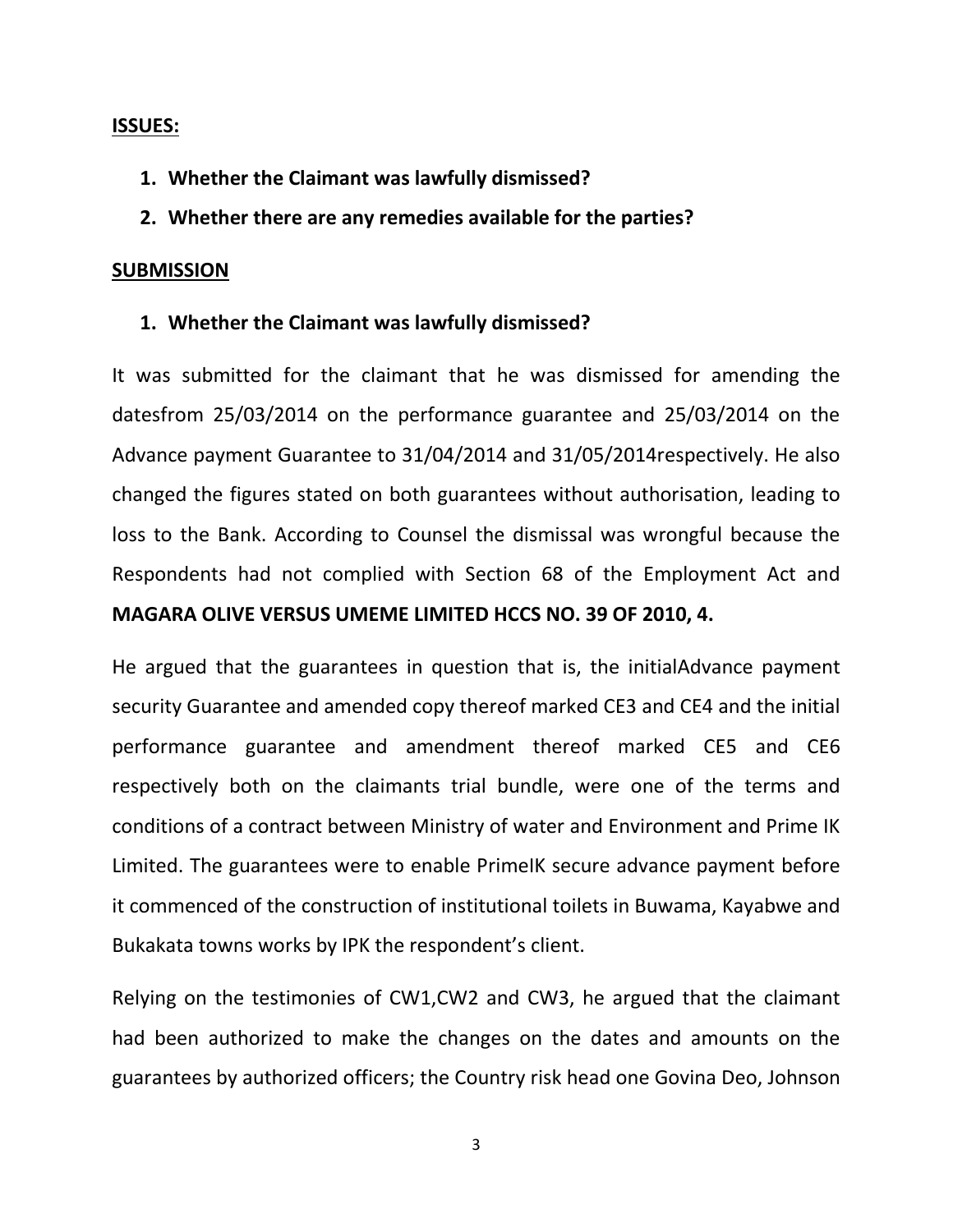## **ISSUES:**

**1. Whether the Claimant was lawfully dismissed?**

# **2. Whether there are any remedies available for the parties?**

# **SUBMISSION**

# **1. Whether the Claimant was lawfully dismissed?**

It was submitted for the claimant that he was dismissed for amending the datesfrom 25/03/2014 on the performance guarantee and 25/03/2014 on the Advance payment Guarantee to 31/04/2014 and 31/05/2014respectively. He also changed the figures stated on both guarantees without authorisation, leading to loss to the Bank. According to Counsel the dismissal was wrongful because the Respondents had not complied with Section 68 of the Employment Act and **MAGARA OLIVE VERSUS UMEME LIMITED HCCS NO. 39 OF 2010, 4.**

He argued that the guarantees in question that is, the initialAdvance payment security Guarantee and amended copy thereof marked CE3 and CE4 and the initial performance guarantee and amendment thereof marked CE5 and CE6 respectively both on the claimants trial bundle, were one of the terms and conditions of a contract between Ministry of water and Environment and Prime IK Limited. The guarantees were to enable PrimeIK secure advance payment before it commenced of the construction of institutional toilets in Buwama, Kayabwe and Bukakata towns works by IPK the respondent's client.

Relying on the testimonies of CW1,CW2 and CW3, he argued that the claimant had been authorized to make the changes on the dates and amounts on the guarantees by authorized officers; the Country risk head one Govina Deo, Johnson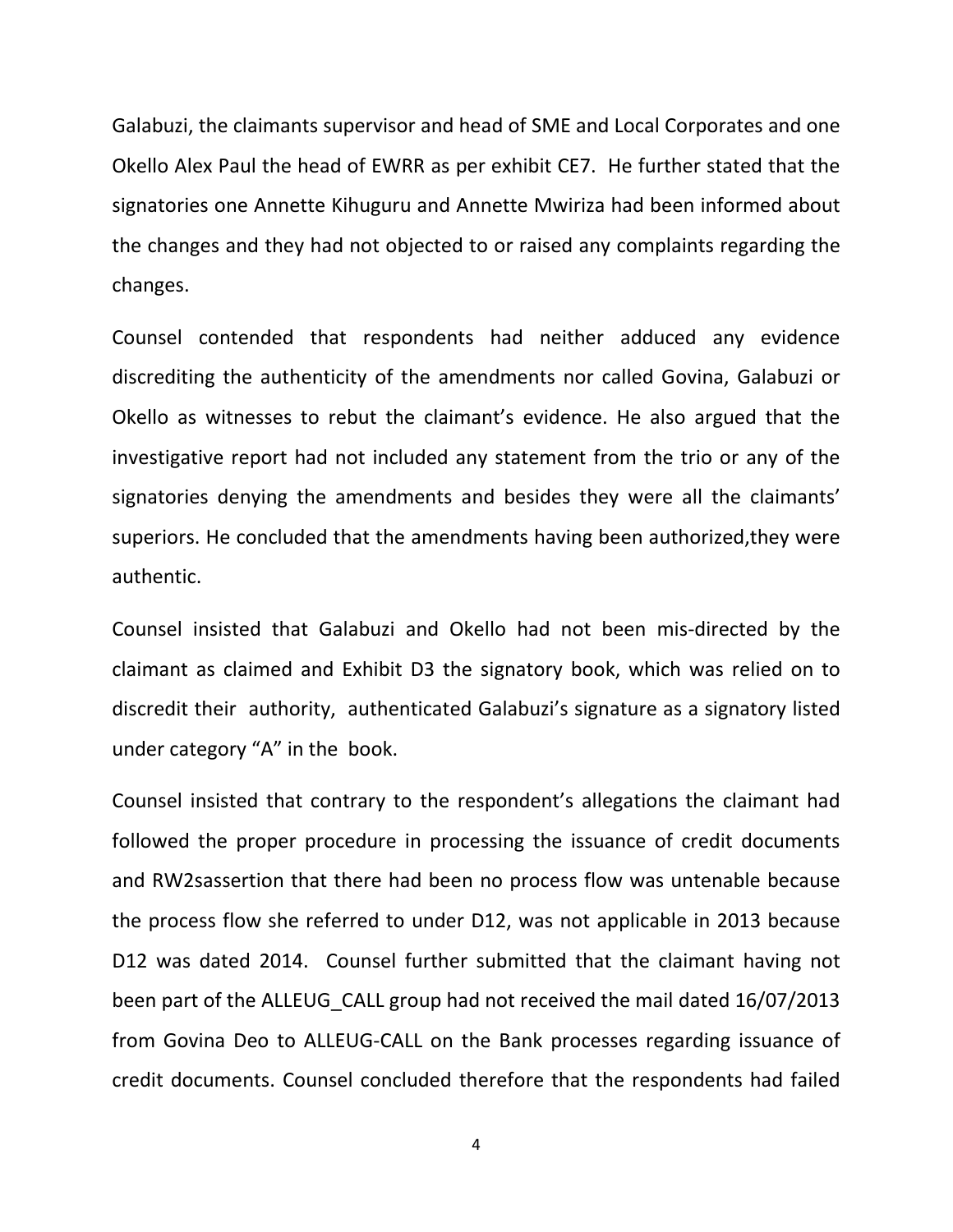Galabuzi, the claimants supervisor and head of SME and Local Corporates and one Okello Alex Paul the head of EWRR as per exhibit CE7. He further stated that the signatories one Annette Kihuguru and Annette Mwiriza had been informed about the changes and they had not objected to or raised any complaints regarding the changes.

Counsel contended that respondents had neither adduced any evidence discrediting the authenticity of the amendments nor called Govina, Galabuzi or Okello as witnesses to rebut the claimant's evidence. He also argued that the investigative report had not included any statement from the trio or any of the signatories denying the amendments and besides they were all the claimants' superiors. He concluded that the amendments having been authorized,they were authentic.

Counsel insisted that Galabuzi and Okello had not been mis-directed by the claimant as claimed and Exhibit D3 the signatory book, which was relied on to discredit their authority, authenticated Galabuzi's signature as a signatory listed under category "A" in the book.

Counsel insisted that contrary to the respondent's allegations the claimant had followed the proper procedure in processing the issuance of credit documents and RW2sassertion that there had been no process flow was untenable because the process flow she referred to under D12, was not applicable in 2013 because D12 was dated 2014. Counsel further submitted that the claimant having not been part of the ALLEUG\_CALL group had not received the mail dated 16/07/2013 from Govina Deo to ALLEUG-CALL on the Bank processes regarding issuance of credit documents. Counsel concluded therefore that the respondents had failed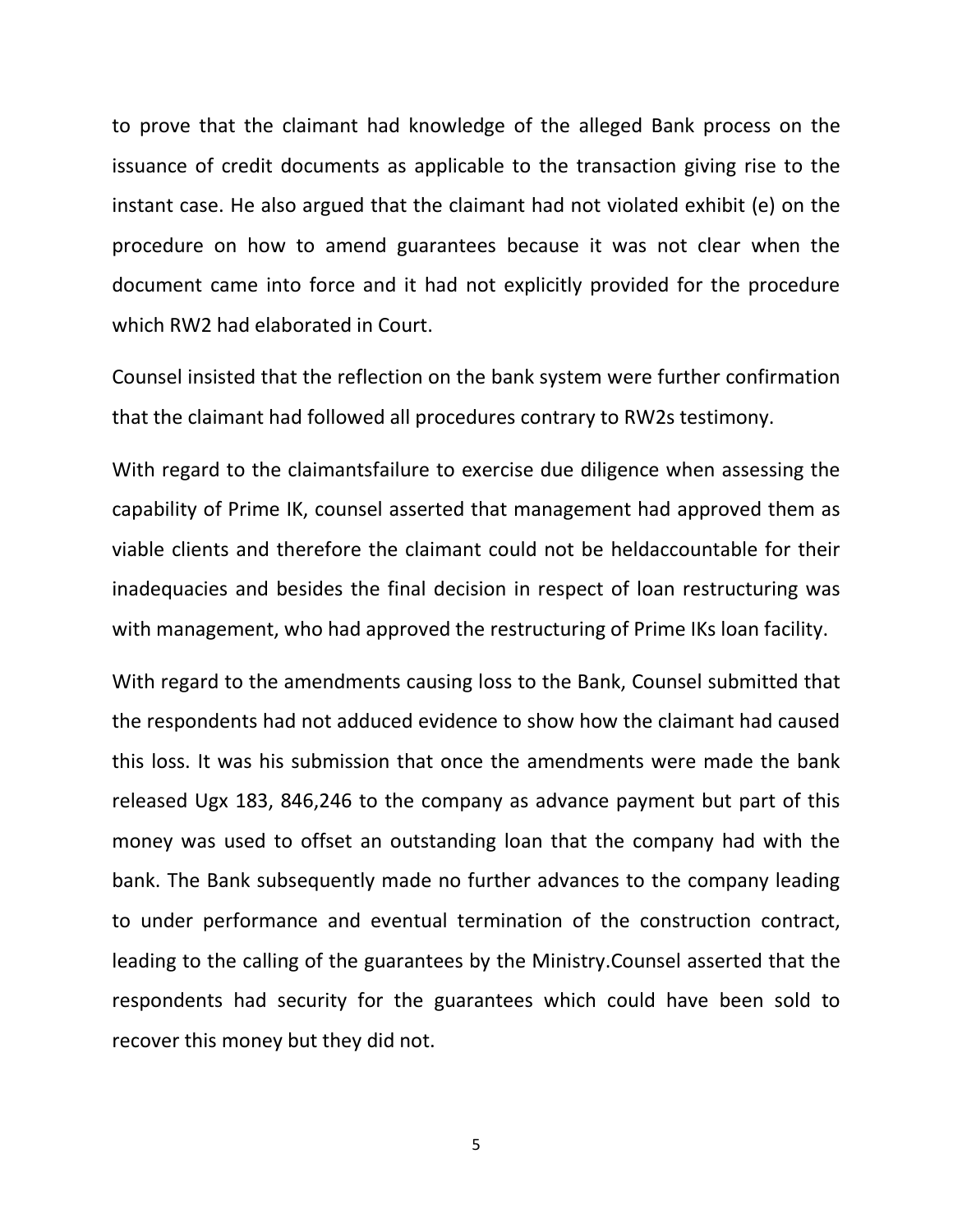to prove that the claimant had knowledge of the alleged Bank process on the issuance of credit documents as applicable to the transaction giving rise to the instant case. He also argued that the claimant had not violated exhibit (e) on the procedure on how to amend guarantees because it was not clear when the document came into force and it had not explicitly provided for the procedure which RW2 had elaborated in Court.

Counsel insisted that the reflection on the bank system were further confirmation that the claimant had followed all procedures contrary to RW2s testimony.

With regard to the claimantsfailure to exercise due diligence when assessing the capability of Prime IK, counsel asserted that management had approved them as viable clients and therefore the claimant could not be heldaccountable for their inadequacies and besides the final decision in respect of loan restructuring was with management, who had approved the restructuring of Prime IKs loan facility.

With regard to the amendments causing loss to the Bank, Counsel submitted that the respondents had not adduced evidence to show how the claimant had caused this loss. It was his submission that once the amendments were made the bank released Ugx 183, 846,246 to the company as advance payment but part of this money was used to offset an outstanding loan that the company had with the bank. The Bank subsequently made no further advances to the company leading to under performance and eventual termination of the construction contract, leading to the calling of the guarantees by the Ministry.Counsel asserted that the respondents had security for the guarantees which could have been sold to recover this money but they did not.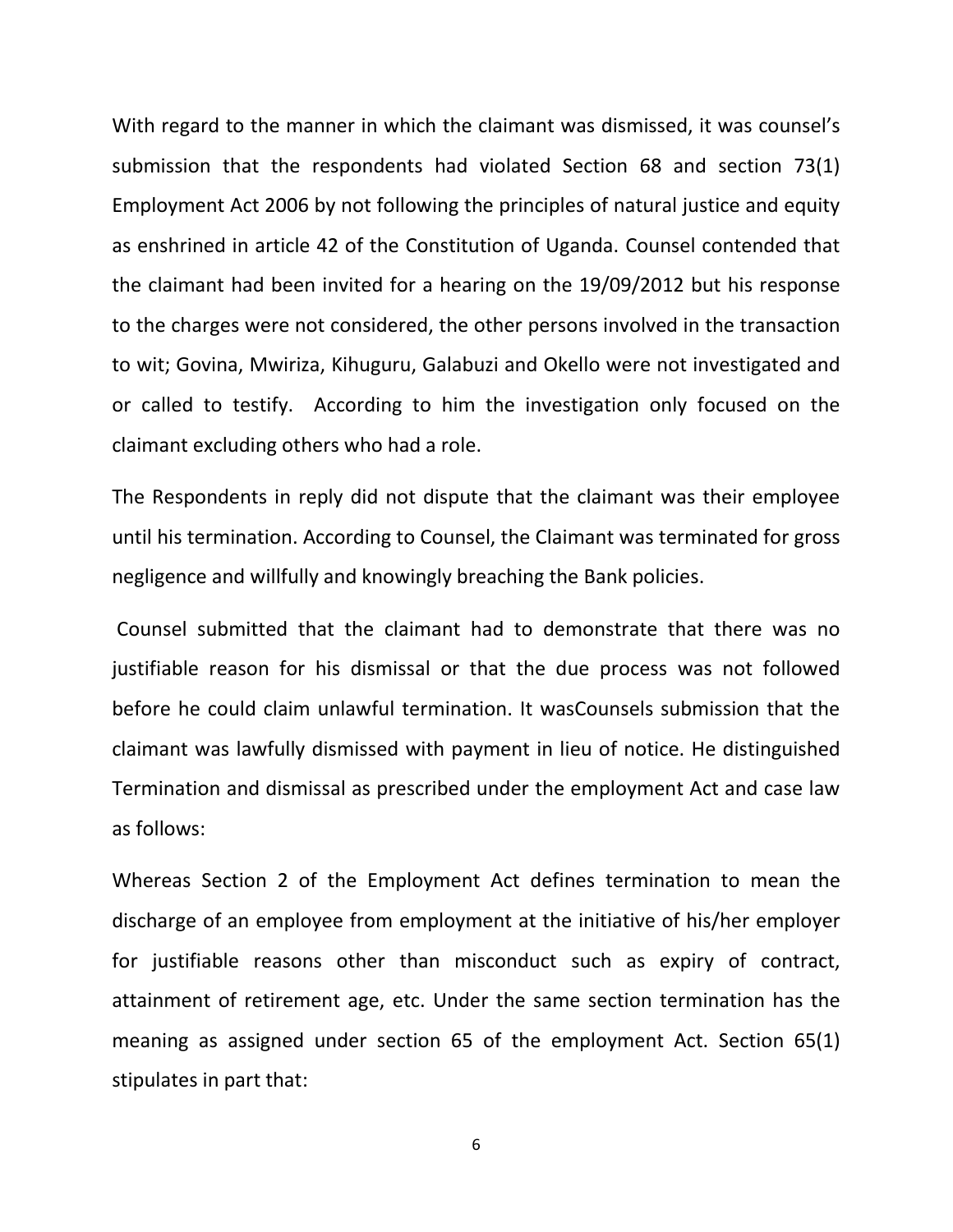With regard to the manner in which the claimant was dismissed, it was counsel's submission that the respondents had violated Section 68 and section 73(1) Employment Act 2006 by not following the principles of natural justice and equity as enshrined in article 42 of the Constitution of Uganda. Counsel contended that the claimant had been invited for a hearing on the 19/09/2012 but his response to the charges were not considered, the other persons involved in the transaction to wit; Govina, Mwiriza, Kihuguru, Galabuzi and Okello were not investigated and or called to testify. According to him the investigation only focused on the claimant excluding others who had a role.

The Respondents in reply did not dispute that the claimant was their employee until his termination. According to Counsel, the Claimant was terminated for gross negligence and willfully and knowingly breaching the Bank policies.

Counsel submitted that the claimant had to demonstrate that there was no justifiable reason for his dismissal or that the due process was not followed before he could claim unlawful termination. It wasCounsels submission that the claimant was lawfully dismissed with payment in lieu of notice. He distinguished Termination and dismissal as prescribed under the employment Act and case law as follows:

Whereas Section 2 of the Employment Act defines termination to mean the discharge of an employee from employment at the initiative of his/her employer for justifiable reasons other than misconduct such as expiry of contract, attainment of retirement age, etc. Under the same section termination has the meaning as assigned under section 65 of the employment Act. Section 65(1) stipulates in part that: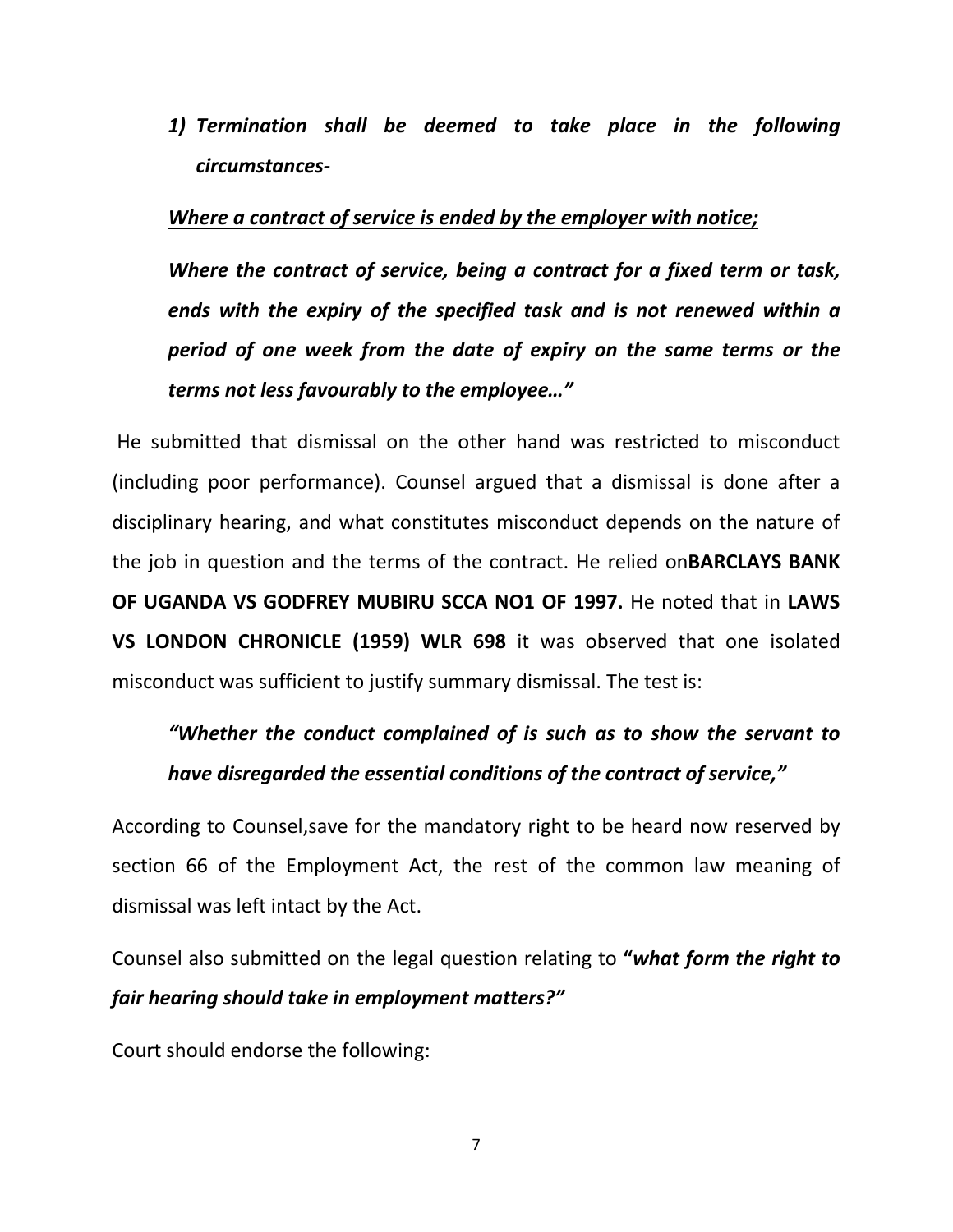*1) Termination shall be deemed to take place in the following circumstances-*

## *Where a contract of service is ended by the employer with notice;*

*Where the contract of service, being a contract for a fixed term or task, ends with the expiry of the specified task and is not renewed within a period of one week from the date of expiry on the same terms or the terms not less favourably to the employee…"* 

He submitted that dismissal on the other hand was restricted to misconduct (including poor performance). Counsel argued that a dismissal is done after a disciplinary hearing, and what constitutes misconduct depends on the nature of the job in question and the terms of the contract. He relied on**BARCLAYS BANK OF UGANDA VS GODFREY MUBIRU SCCA NO1 OF 1997.** He noted that in **LAWS VS LONDON CHRONICLE (1959) WLR 698** it was observed that one isolated misconduct was sufficient to justify summary dismissal. The test is:

# *"Whether the conduct complained of is such as to show the servant to have disregarded the essential conditions of the contract of service,"*

According to Counsel,save for the mandatory right to be heard now reserved by section 66 of the Employment Act, the rest of the common law meaning of dismissal was left intact by the Act.

Counsel also submitted on the legal question relating to **"***what form the right to fair hearing should take in employment matters?"*

Court should endorse the following: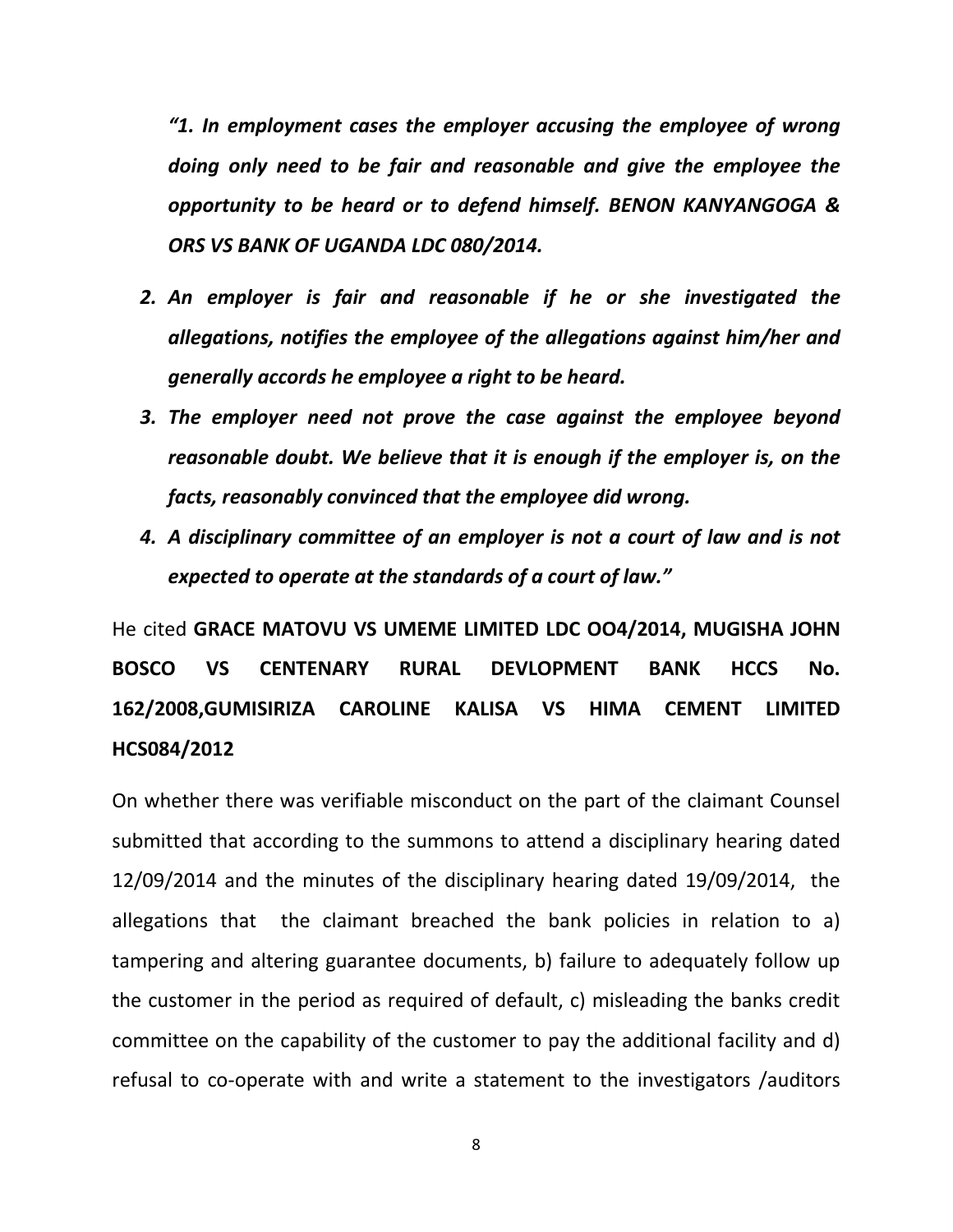*"1. In employment cases the employer accusing the employee of wrong doing only need to be fair and reasonable and give the employee the opportunity to be heard or to defend himself. BENON KANYANGOGA & ORS VS BANK OF UGANDA LDC 080/2014.*

- *2. An employer is fair and reasonable if he or she investigated the allegations, notifies the employee of the allegations against him/her and generally accords he employee a right to be heard.*
- *3. The employer need not prove the case against the employee beyond reasonable doubt. We believe that it is enough if the employer is, on the facts, reasonably convinced that the employee did wrong.*
- *4. A disciplinary committee of an employer is not a court of law and is not expected to operate at the standards of a court of law."*

He cited **GRACE MATOVU VS UMEME LIMITED LDC OO4/2014, MUGISHA JOHN BOSCO VS CENTENARY RURAL DEVLOPMENT BANK HCCS No. 162/2008,GUMISIRIZA CAROLINE KALISA VS HIMA CEMENT LIMITED HCS084/2012**

On whether there was verifiable misconduct on the part of the claimant Counsel submitted that according to the summons to attend a disciplinary hearing dated 12/09/2014 and the minutes of the disciplinary hearing dated 19/09/2014, the allegations that the claimant breached the bank policies in relation to a) tampering and altering guarantee documents, b) failure to adequately follow up the customer in the period as required of default, c) misleading the banks credit committee on the capability of the customer to pay the additional facility and d) refusal to co-operate with and write a statement to the investigators /auditors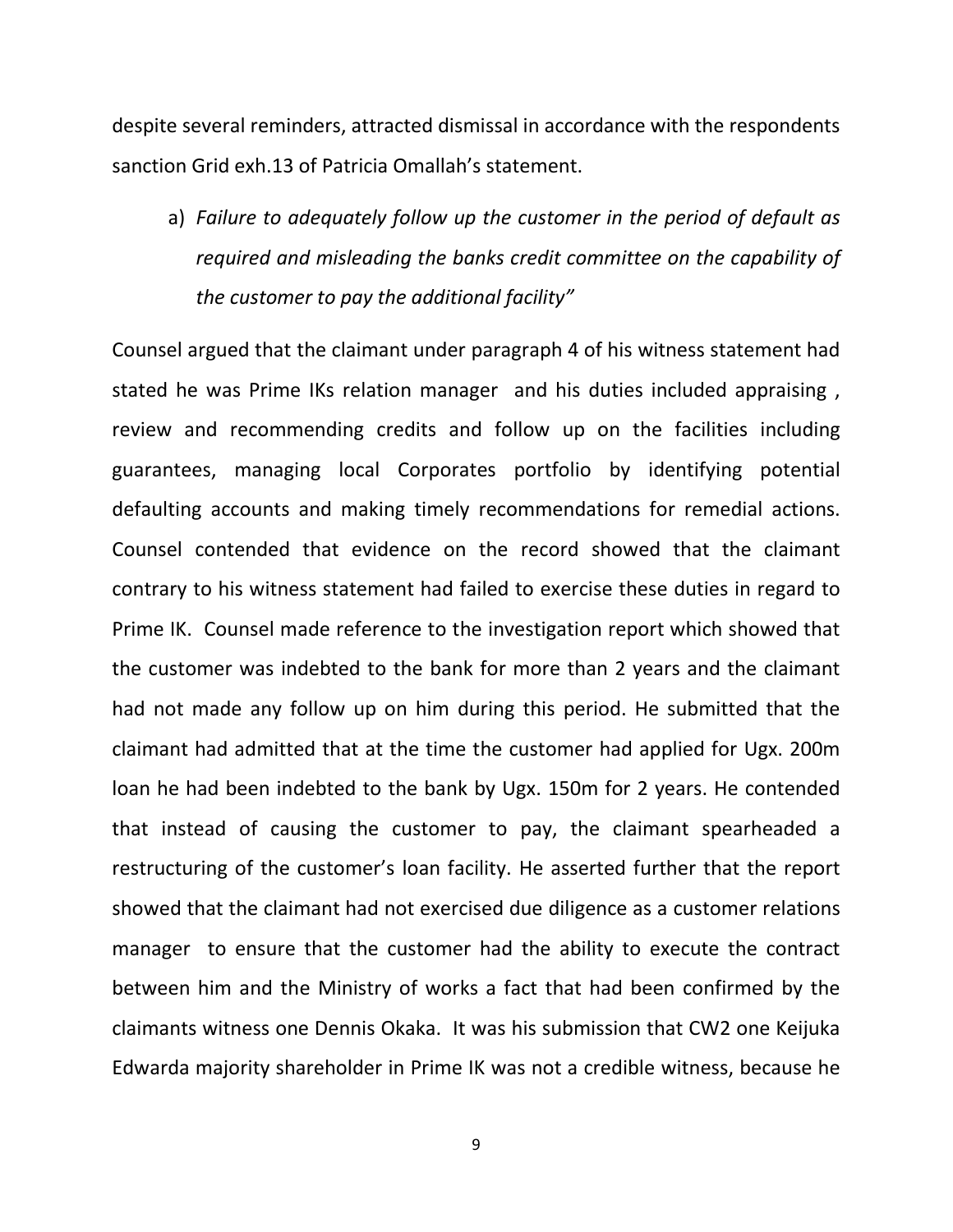despite several reminders, attracted dismissal in accordance with the respondents sanction Grid exh.13 of Patricia Omallah's statement.

a) *Failure to adequately follow up the customer in the period of default as required and misleading the banks credit committee on the capability of the customer to pay the additional facility"* 

Counsel argued that the claimant under paragraph 4 of his witness statement had stated he was Prime IKs relation manager and his duties included appraising, review and recommending credits and follow up on the facilities including guarantees, managing local Corporates portfolio by identifying potential defaulting accounts and making timely recommendations for remedial actions. Counsel contended that evidence on the record showed that the claimant contrary to his witness statement had failed to exercise these duties in regard to Prime IK. Counsel made reference to the investigation report which showed that the customer was indebted to the bank for more than 2 years and the claimant had not made any follow up on him during this period. He submitted that the claimant had admitted that at the time the customer had applied for Ugx. 200m loan he had been indebted to the bank by Ugx. 150m for 2 years. He contended that instead of causing the customer to pay, the claimant spearheaded a restructuring of the customer's loan facility. He asserted further that the report showed that the claimant had not exercised due diligence as a customer relations manager to ensure that the customer had the ability to execute the contract between him and the Ministry of works a fact that had been confirmed by the claimants witness one Dennis Okaka. It was his submission that CW2 one Keijuka Edwarda majority shareholder in Prime IK was not a credible witness, because he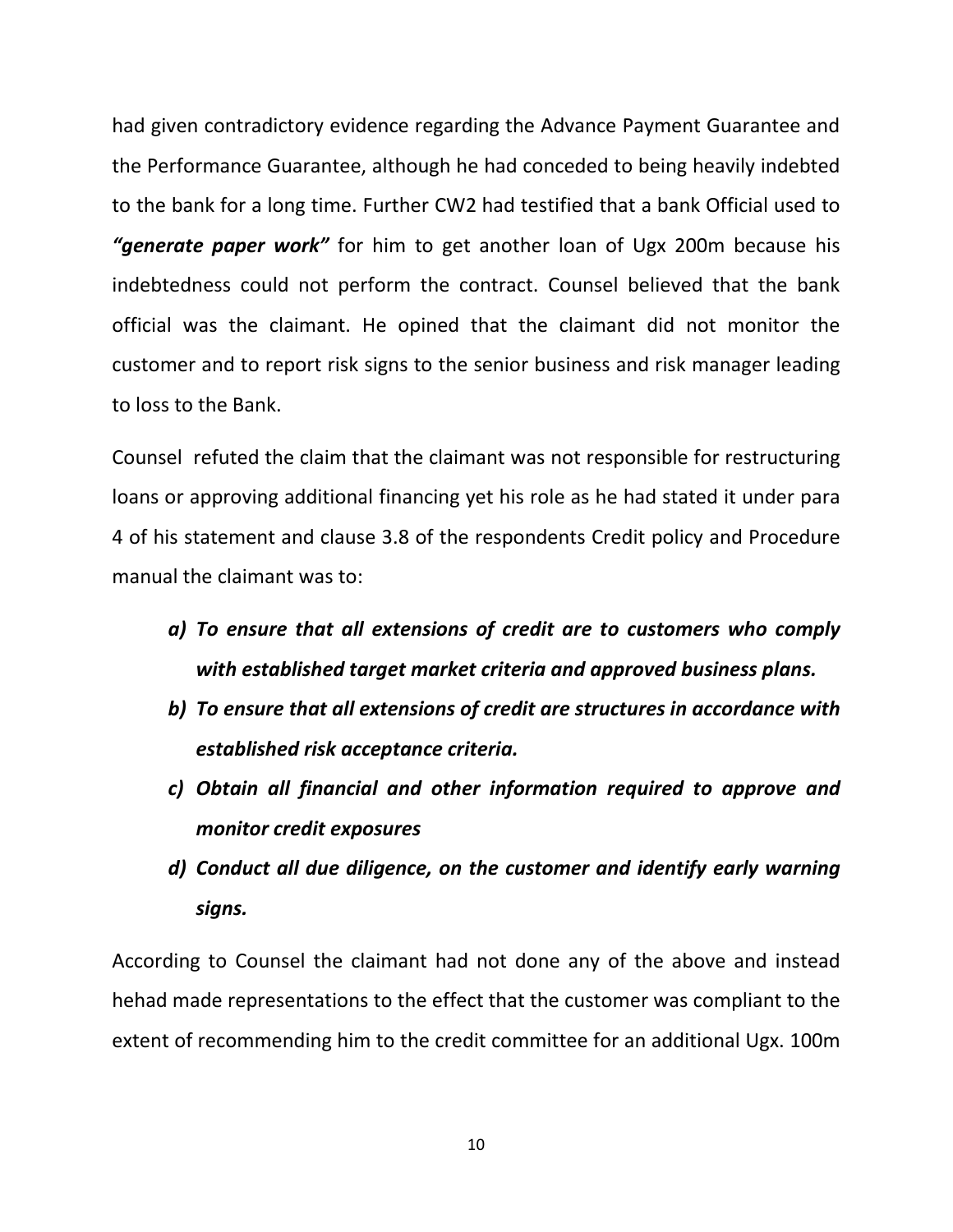had given contradictory evidence regarding the Advance Payment Guarantee and the Performance Guarantee, although he had conceded to being heavily indebted to the bank for a long time. Further CW2 had testified that a bank Official used to *"generate paper work"* for him to get another loan of Ugx 200m because his indebtedness could not perform the contract. Counsel believed that the bank official was the claimant. He opined that the claimant did not monitor the customer and to report risk signs to the senior business and risk manager leading to loss to the Bank.

Counsel refuted the claim that the claimant was not responsible for restructuring loans or approving additional financing yet his role as he had stated it under para 4 of his statement and clause 3.8 of the respondents Credit policy and Procedure manual the claimant was to:

- *a) To ensure that all extensions of credit are to customers who comply with established target market criteria and approved business plans.*
- *b) To ensure that all extensions of credit are structures in accordance with established risk acceptance criteria.*
- *c) Obtain all financial and other information required to approve and monitor credit exposures*
- *d) Conduct all due diligence, on the customer and identify early warning signs.*

According to Counsel the claimant had not done any of the above and instead hehad made representations to the effect that the customer was compliant to the extent of recommending him to the credit committee for an additional Ugx. 100m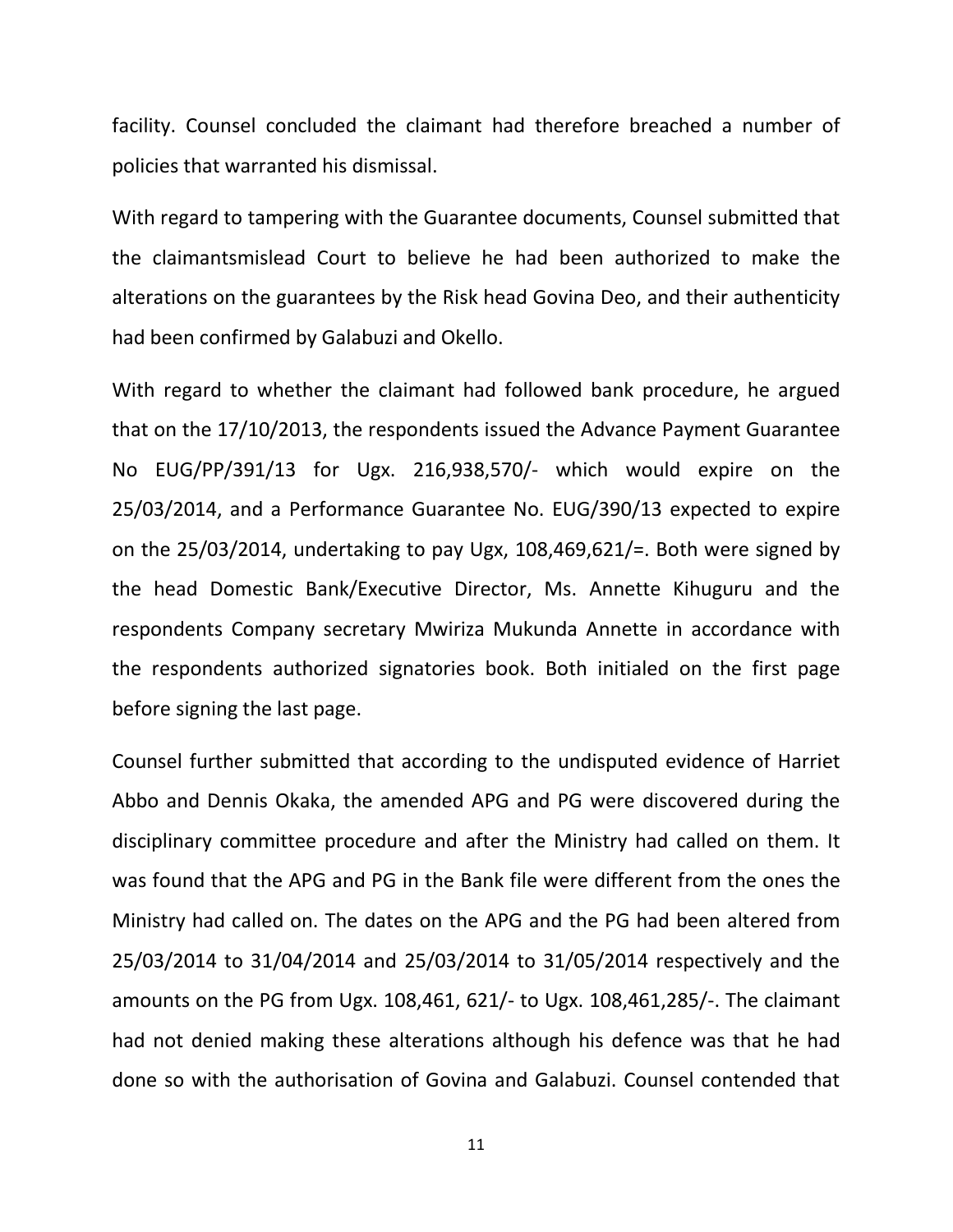facility. Counsel concluded the claimant had therefore breached a number of policies that warranted his dismissal.

With regard to tampering with the Guarantee documents, Counsel submitted that the claimantsmislead Court to believe he had been authorized to make the alterations on the guarantees by the Risk head Govina Deo, and their authenticity had been confirmed by Galabuzi and Okello.

With regard to whether the claimant had followed bank procedure, he argued that on the 17/10/2013, the respondents issued the Advance Payment Guarantee No EUG/PP/391/13 for Ugx. 216,938,570/- which would expire on the 25/03/2014, and a Performance Guarantee No. EUG/390/13 expected to expire on the 25/03/2014, undertaking to pay Ugx, 108,469,621/=. Both were signed by the head Domestic Bank/Executive Director, Ms. Annette Kihuguru and the respondents Company secretary Mwiriza Mukunda Annette in accordance with the respondents authorized signatories book. Both initialed on the first page before signing the last page.

Counsel further submitted that according to the undisputed evidence of Harriet Abbo and Dennis Okaka, the amended APG and PG were discovered during the disciplinary committee procedure and after the Ministry had called on them. It was found that the APG and PG in the Bank file were different from the ones the Ministry had called on. The dates on the APG and the PG had been altered from 25/03/2014 to 31/04/2014 and 25/03/2014 to 31/05/2014 respectively and the amounts on the PG from Ugx. 108,461, 621/- to Ugx. 108,461,285/-. The claimant had not denied making these alterations although his defence was that he had done so with the authorisation of Govina and Galabuzi. Counsel contended that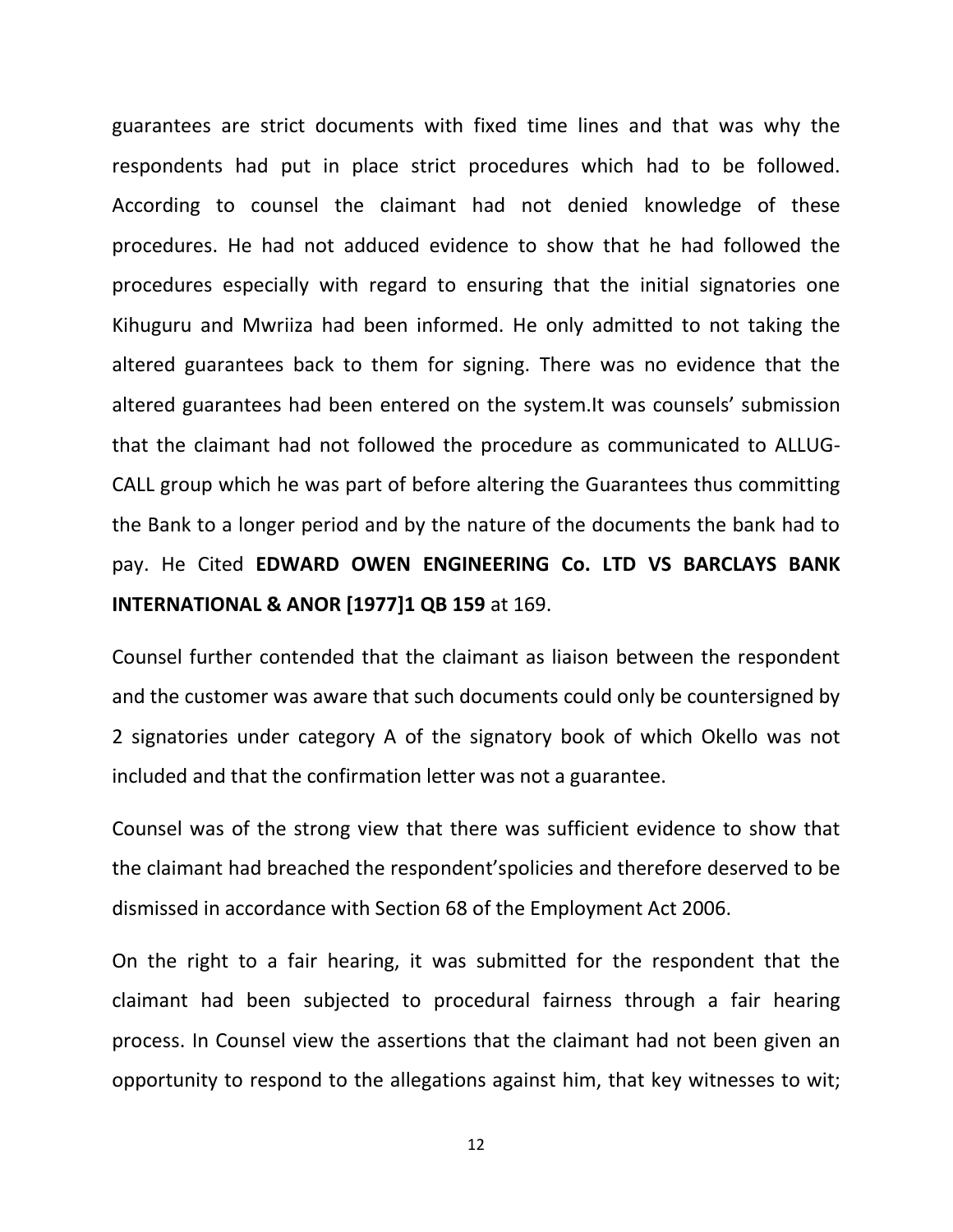guarantees are strict documents with fixed time lines and that was why the respondents had put in place strict procedures which had to be followed. According to counsel the claimant had not denied knowledge of these procedures. He had not adduced evidence to show that he had followed the procedures especially with regard to ensuring that the initial signatories one Kihuguru and Mwriiza had been informed. He only admitted to not taking the altered guarantees back to them for signing. There was no evidence that the altered guarantees had been entered on the system.It was counsels' submission that the claimant had not followed the procedure as communicated to ALLUG-CALL group which he was part of before altering the Guarantees thus committing the Bank to a longer period and by the nature of the documents the bank had to pay. He Cited **EDWARD OWEN ENGINEERING Co. LTD VS BARCLAYS BANK INTERNATIONAL & ANOR [1977]1 QB 159** at 169.

Counsel further contended that the claimant as liaison between the respondent and the customer was aware that such documents could only be countersigned by 2 signatories under category A of the signatory book of which Okello was not included and that the confirmation letter was not a guarantee.

Counsel was of the strong view that there was sufficient evidence to show that the claimant had breached the respondent'spolicies and therefore deserved to be dismissed in accordance with Section 68 of the Employment Act 2006.

On the right to a fair hearing, it was submitted for the respondent that the claimant had been subjected to procedural fairness through a fair hearing process. In Counsel view the assertions that the claimant had not been given an opportunity to respond to the allegations against him, that key witnesses to wit;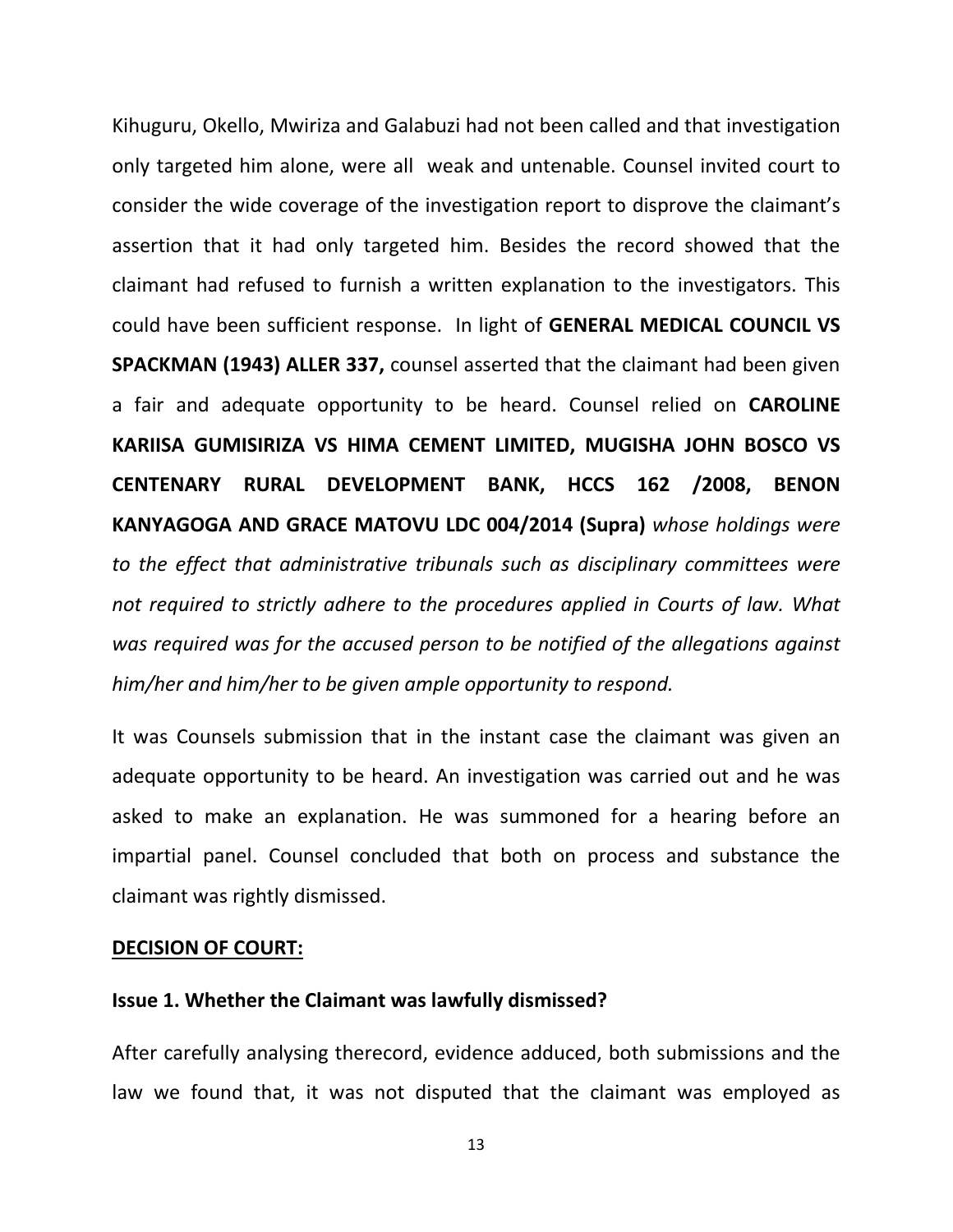Kihuguru, Okello, Mwiriza and Galabuzi had not been called and that investigation only targeted him alone, were all weak and untenable. Counsel invited court to consider the wide coverage of the investigation report to disprove the claimant's assertion that it had only targeted him. Besides the record showed that the claimant had refused to furnish a written explanation to the investigators. This could have been sufficient response. In light of **GENERAL MEDICAL COUNCIL VS SPACKMAN (1943) ALLER 337,** counsel asserted that the claimant had been given a fair and adequate opportunity to be heard. Counsel relied on **CAROLINE KARIISA GUMISIRIZA VS HIMA CEMENT LIMITED, MUGISHA JOHN BOSCO VS CENTENARY RURAL DEVELOPMENT BANK, HCCS 162 /2008, BENON KANYAGOGA AND GRACE MATOVU LDC 004/2014 (Supra)** *whose holdings were to the effect that administrative tribunals such as disciplinary committees were not required to strictly adhere to the procedures applied in Courts of law. What was required was for the accused person to be notified of the allegations against him/her and him/her to be given ample opportunity to respond.*

It was Counsels submission that in the instant case the claimant was given an adequate opportunity to be heard. An investigation was carried out and he was asked to make an explanation. He was summoned for a hearing before an impartial panel. Counsel concluded that both on process and substance the claimant was rightly dismissed.

## **DECISION OF COURT:**

#### **Issue 1. Whether the Claimant was lawfully dismissed?**

After carefully analysing therecord, evidence adduced, both submissions and the law we found that, it was not disputed that the claimant was employed as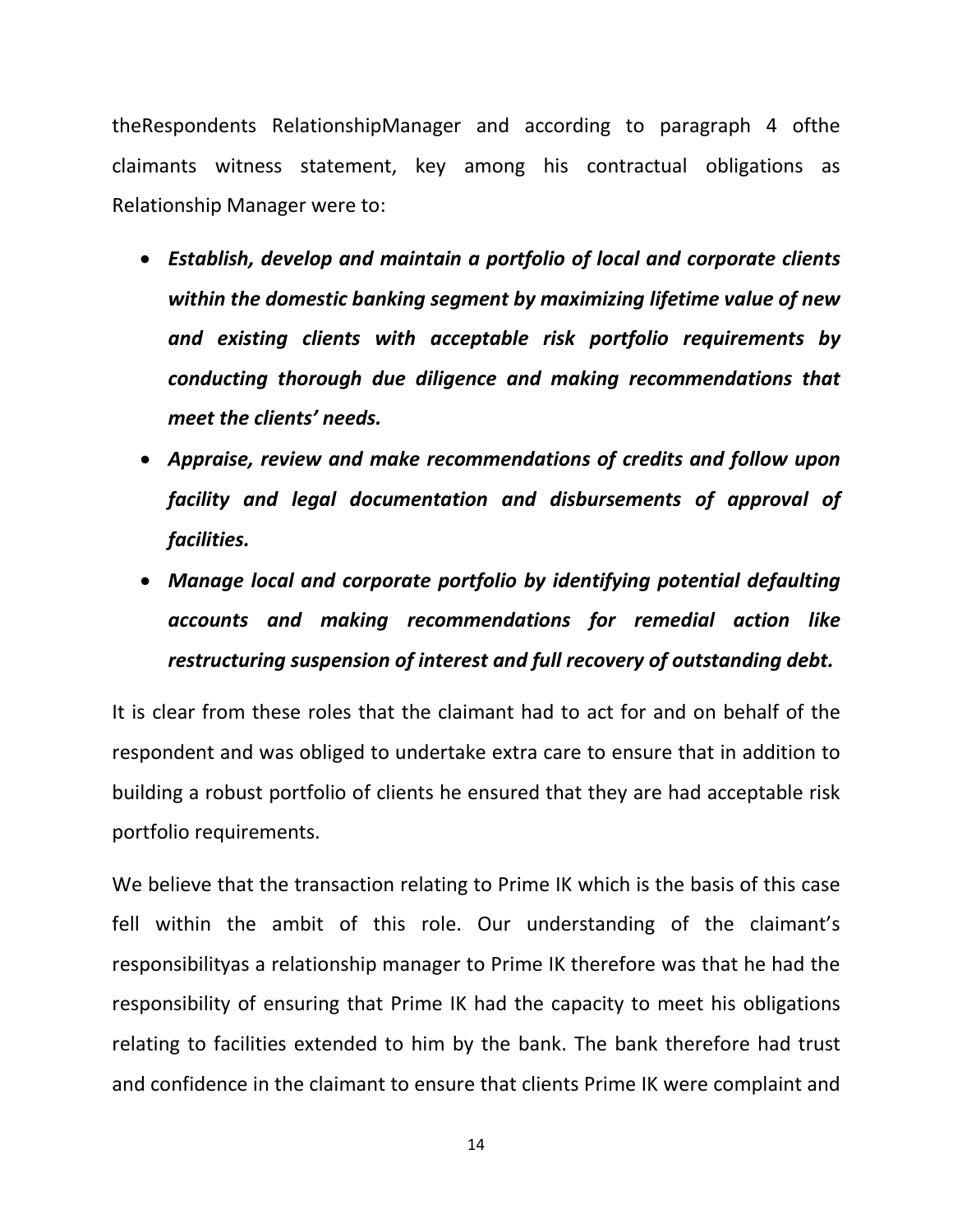theRespondents RelationshipManager and according to paragraph 4 ofthe claimants witness statement, key among his contractual obligations as Relationship Manager were to:

- *Establish, develop and maintain a portfolio of local and corporate clients within the domestic banking segment by maximizing lifetime value of new and existing clients with acceptable risk portfolio requirements by conducting thorough due diligence and making recommendations that meet the clients' needs.*
- *Appraise, review and make recommendations of credits and follow upon facility and legal documentation and disbursements of approval of facilities.*
- *Manage local and corporate portfolio by identifying potential defaulting accounts and making recommendations for remedial action like restructuring suspension of interest and full recovery of outstanding debt.*

It is clear from these roles that the claimant had to act for and on behalf of the respondent and was obliged to undertake extra care to ensure that in addition to building a robust portfolio of clients he ensured that they are had acceptable risk portfolio requirements.

We believe that the transaction relating to Prime IK which is the basis of this case fell within the ambit of this role. Our understanding of the claimant's responsibilityas a relationship manager to Prime IK therefore was that he had the responsibility of ensuring that Prime IK had the capacity to meet his obligations relating to facilities extended to him by the bank. The bank therefore had trust and confidence in the claimant to ensure that clients Prime IK were complaint and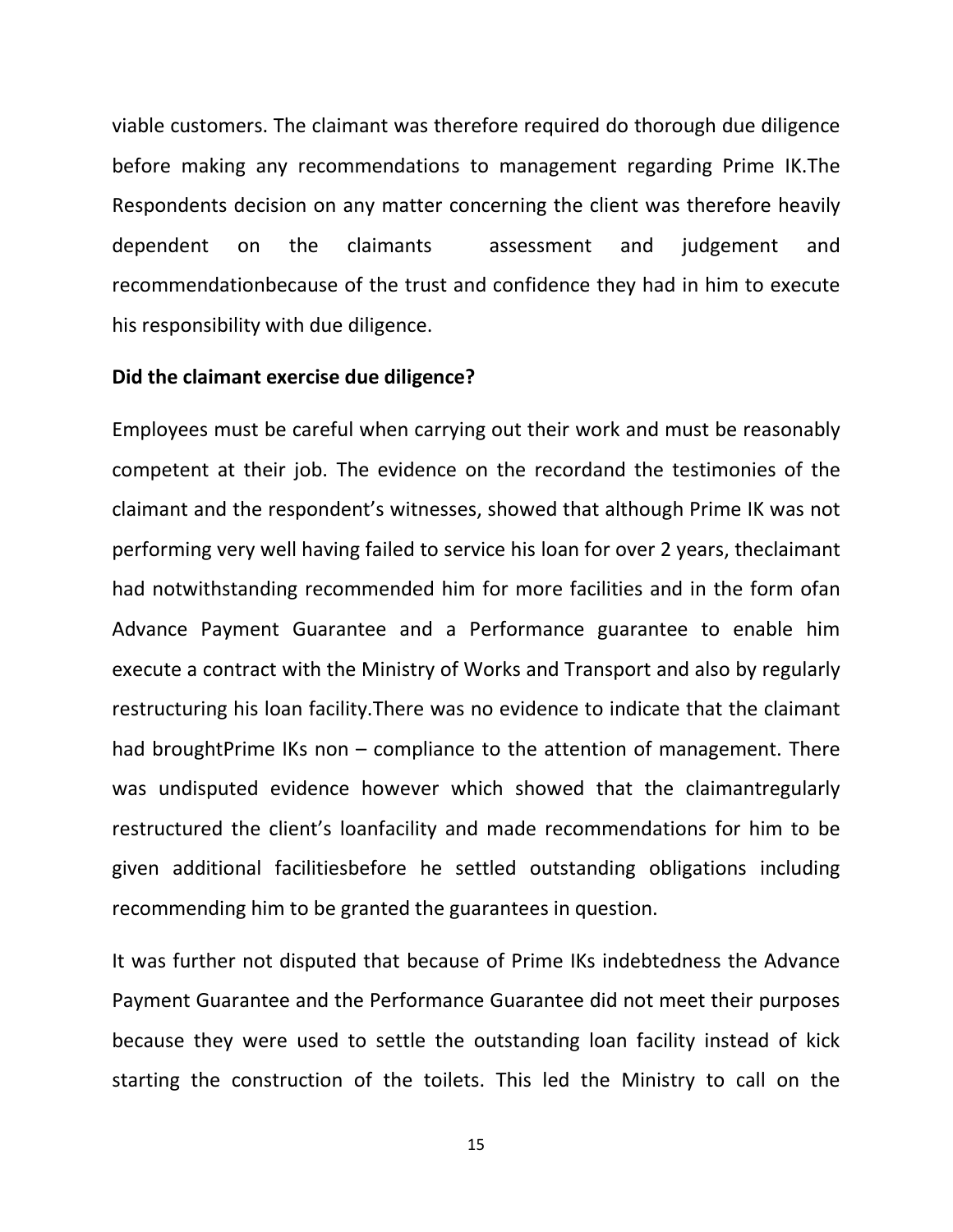viable customers. The claimant was therefore required do thorough due diligence before making any recommendations to management regarding Prime IK.The Respondents decision on any matter concerning the client was therefore heavily dependent on the claimants assessment and judgement and recommendationbecause of the trust and confidence they had in him to execute his responsibility with due diligence.

#### **Did the claimant exercise due diligence?**

Employees must be careful when carrying out their work and must be reasonably competent at their job. The evidence on the recordand the testimonies of the claimant and the respondent's witnesses, showed that although Prime IK was not performing very well having failed to service his loan for over 2 years, theclaimant had notwithstanding recommended him for more facilities and in the form ofan Advance Payment Guarantee and a Performance guarantee to enable him execute a contract with the Ministry of Works and Transport and also by regularly restructuring his loan facility.There was no evidence to indicate that the claimant had broughtPrime IKs non – compliance to the attention of management. There was undisputed evidence however which showed that the claimantregularly restructured the client's loanfacility and made recommendations for him to be given additional facilitiesbefore he settled outstanding obligations including recommending him to be granted the guarantees in question.

It was further not disputed that because of Prime IKs indebtedness the Advance Payment Guarantee and the Performance Guarantee did not meet their purposes because they were used to settle the outstanding loan facility instead of kick starting the construction of the toilets. This led the Ministry to call on the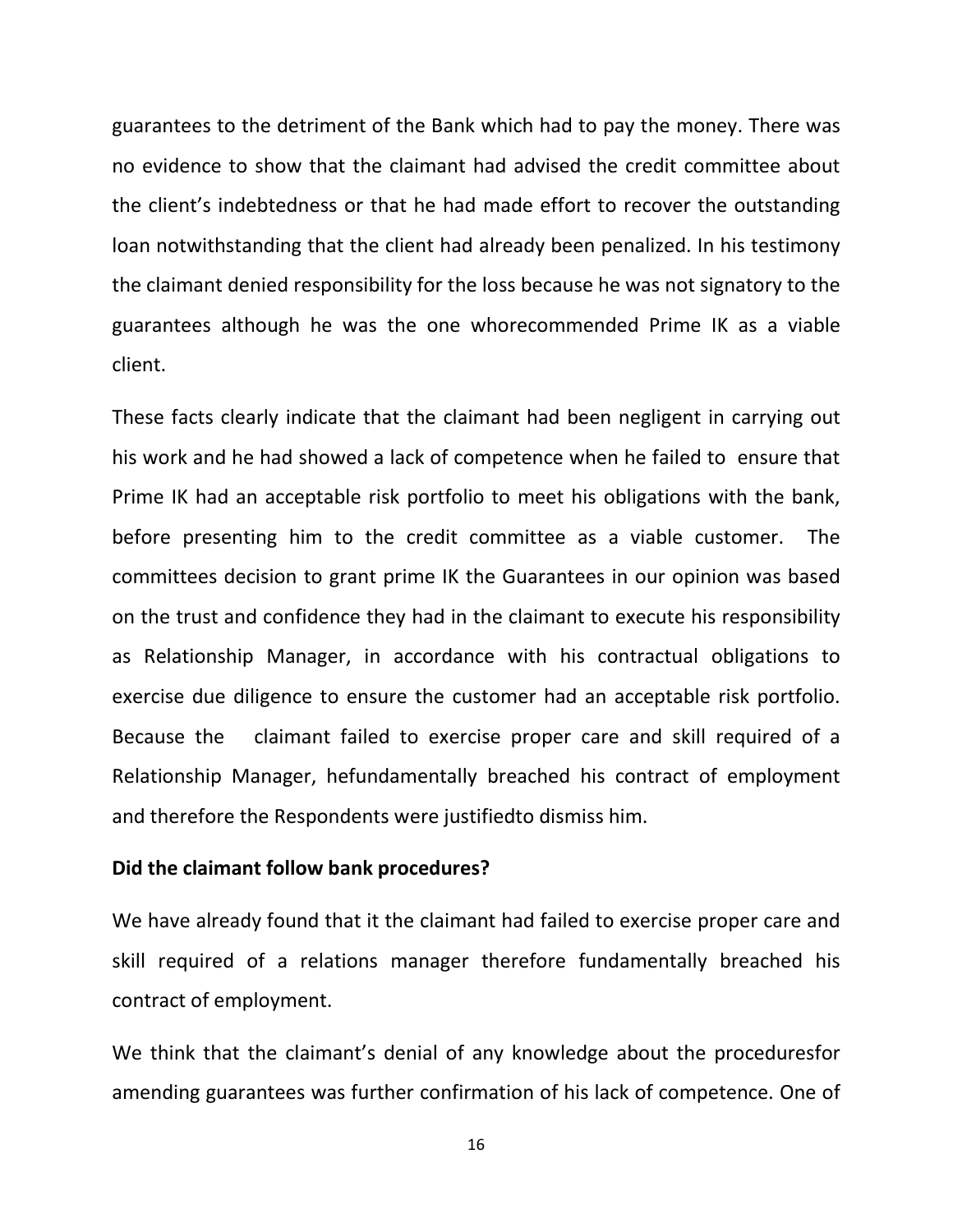guarantees to the detriment of the Bank which had to pay the money. There was no evidence to show that the claimant had advised the credit committee about the client's indebtedness or that he had made effort to recover the outstanding loan notwithstanding that the client had already been penalized. In his testimony the claimant denied responsibility for the loss because he was not signatory to the guarantees although he was the one whorecommended Prime IK as a viable client.

These facts clearly indicate that the claimant had been negligent in carrying out his work and he had showed a lack of competence when he failed to ensure that Prime IK had an acceptable risk portfolio to meet his obligations with the bank, before presenting him to the credit committee as a viable customer. The committees decision to grant prime IK the Guarantees in our opinion was based on the trust and confidence they had in the claimant to execute his responsibility as Relationship Manager, in accordance with his contractual obligations to exercise due diligence to ensure the customer had an acceptable risk portfolio. Because the claimant failed to exercise proper care and skill required of a Relationship Manager, hefundamentally breached his contract of employment and therefore the Respondents were justifiedto dismiss him.

## **Did the claimant follow bank procedures?**

We have already found that it the claimant had failed to exercise proper care and skill required of a relations manager therefore fundamentally breached his contract of employment.

We think that the claimant's denial of any knowledge about the proceduresfor amending guarantees was further confirmation of his lack of competence. One of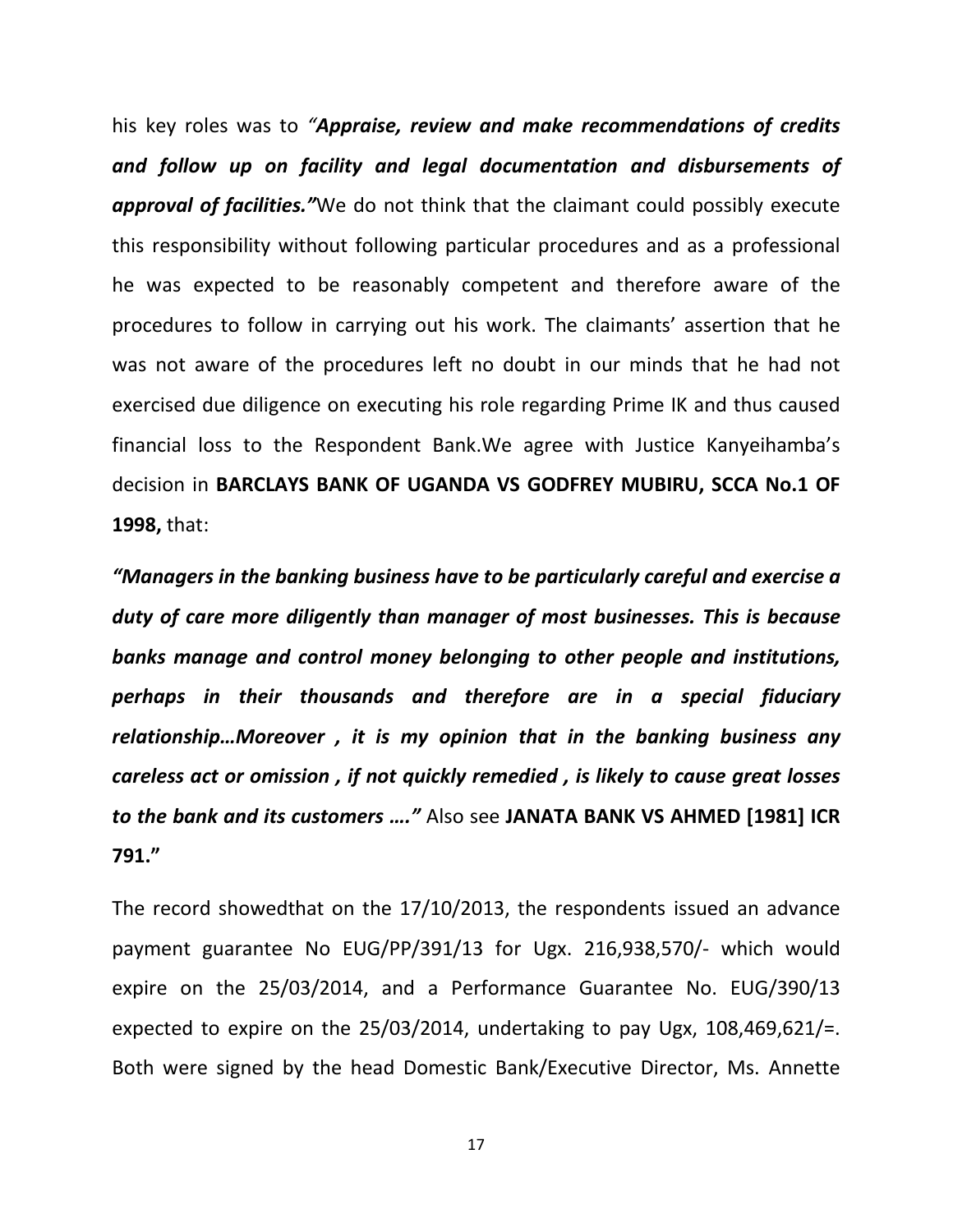his key roles was to *"Appraise, review and make recommendations of credits and follow up on facility and legal documentation and disbursements of approval of facilities."*We do not think that the claimant could possibly execute this responsibility without following particular procedures and as a professional he was expected to be reasonably competent and therefore aware of the procedures to follow in carrying out his work. The claimants' assertion that he was not aware of the procedures left no doubt in our minds that he had not exercised due diligence on executing his role regarding Prime IK and thus caused financial loss to the Respondent Bank.We agree with Justice Kanyeihamba's decision in **BARCLAYS BANK OF UGANDA VS GODFREY MUBIRU, SCCA No.1 OF 1998,** that:

*"Managers in the banking business have to be particularly careful and exercise a duty of care more diligently than manager of most businesses. This is because banks manage and control money belonging to other people and institutions, perhaps in their thousands and therefore are in a special fiduciary relationship…Moreover , it is my opinion that in the banking business any careless act or omission , if not quickly remedied , is likely to cause great losses to the bank and its customers …."* Also see **JANATA BANK VS AHMED [1981] ICR 791."**

The record showedthat on the 17/10/2013, the respondents issued an advance payment guarantee No EUG/PP/391/13 for Ugx. 216,938,570/- which would expire on the 25/03/2014, and a Performance Guarantee No. EUG/390/13 expected to expire on the 25/03/2014, undertaking to pay Ugx, 108,469,621/=. Both were signed by the head Domestic Bank/Executive Director, Ms. Annette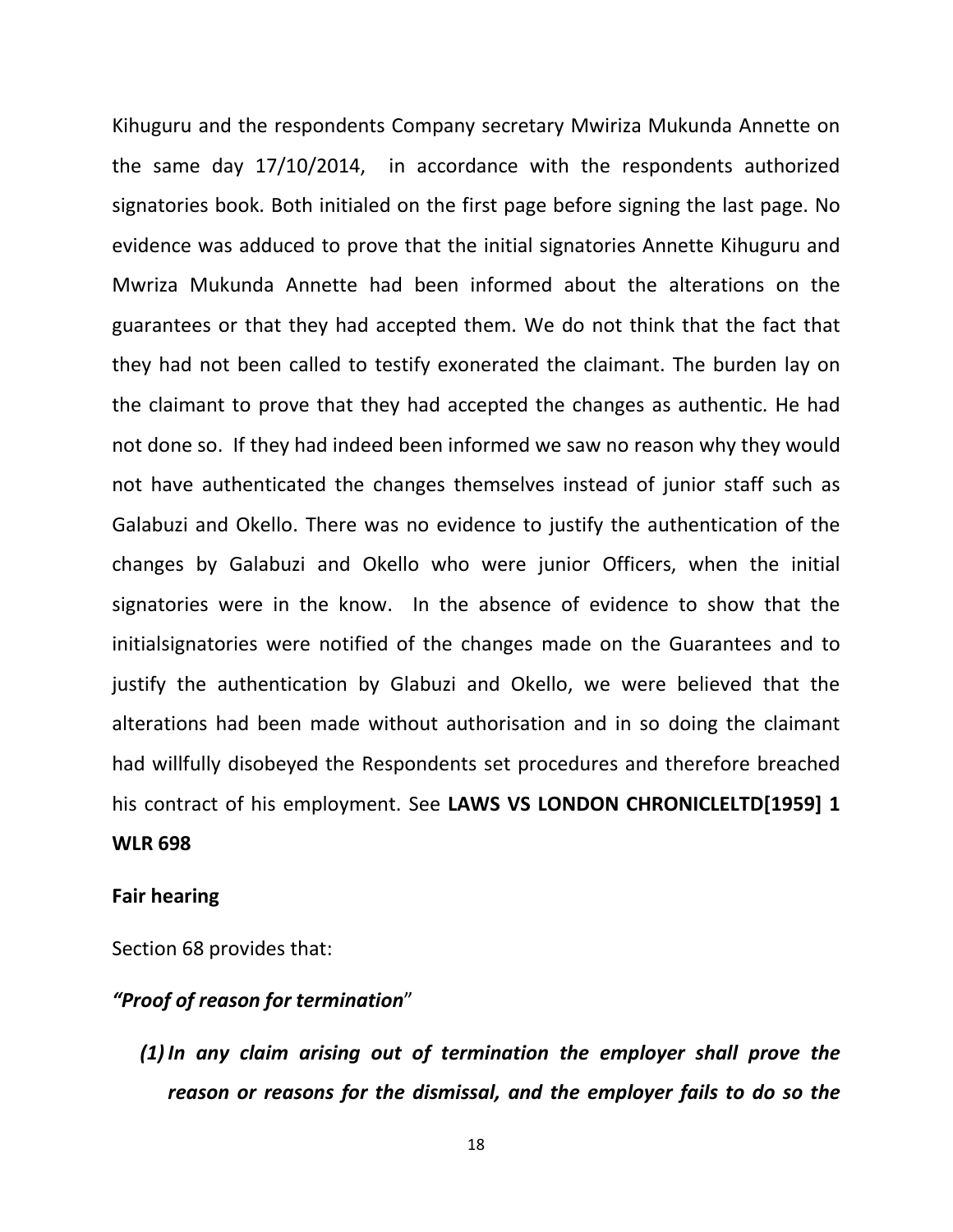Kihuguru and the respondents Company secretary Mwiriza Mukunda Annette on the same day 17/10/2014, in accordance with the respondents authorized signatories book. Both initialed on the first page before signing the last page. No evidence was adduced to prove that the initial signatories Annette Kihuguru and Mwriza Mukunda Annette had been informed about the alterations on the guarantees or that they had accepted them. We do not think that the fact that they had not been called to testify exonerated the claimant. The burden lay on the claimant to prove that they had accepted the changes as authentic. He had not done so. If they had indeed been informed we saw no reason why they would not have authenticated the changes themselves instead of junior staff such as Galabuzi and Okello. There was no evidence to justify the authentication of the changes by Galabuzi and Okello who were junior Officers, when the initial signatories were in the know. In the absence of evidence to show that the initialsignatories were notified of the changes made on the Guarantees and to justify the authentication by Glabuzi and Okello, we were believed that the alterations had been made without authorisation and in so doing the claimant had willfully disobeyed the Respondents set procedures and therefore breached his contract of his employment. See **LAWS VS LONDON CHRONICLELTD[1959] 1 WLR 698**

#### **Fair hearing**

Section 68 provides that:

## *"Proof of reason for termination*"

*(1) In any claim arising out of termination the employer shall prove the reason or reasons for the dismissal, and the employer fails to do so the*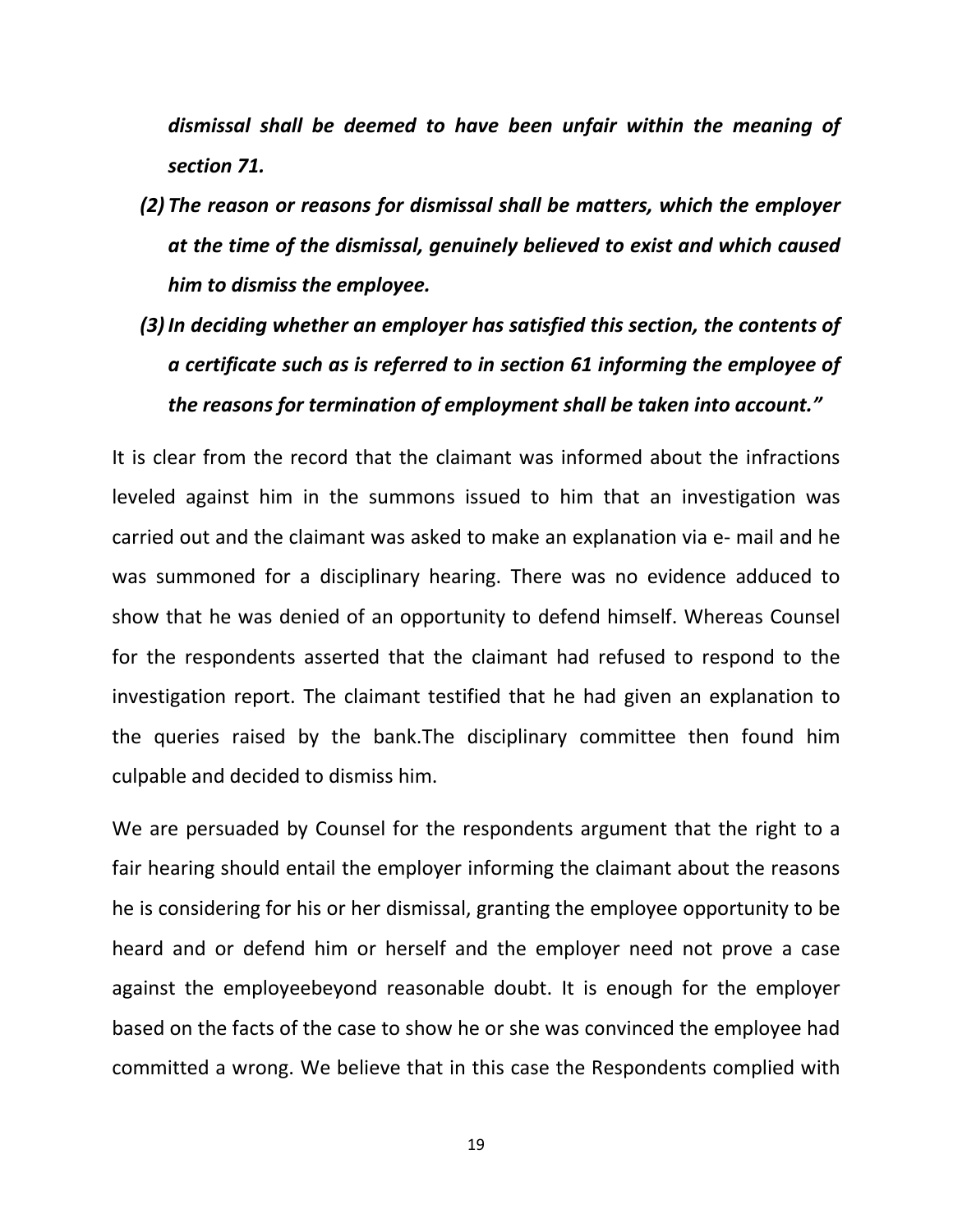*dismissal shall be deemed to have been unfair within the meaning of section 71.*

- *(2) The reason or reasons for dismissal shall be matters, which the employer at the time of the dismissal, genuinely believed to exist and which caused him to dismiss the employee.*
- *(3) In deciding whether an employer has satisfied this section, the contents of a certificate such as is referred to in section 61 informing the employee of the reasons for termination of employment shall be taken into account."*

It is clear from the record that the claimant was informed about the infractions leveled against him in the summons issued to him that an investigation was carried out and the claimant was asked to make an explanation via e- mail and he was summoned for a disciplinary hearing. There was no evidence adduced to show that he was denied of an opportunity to defend himself. Whereas Counsel for the respondents asserted that the claimant had refused to respond to the investigation report. The claimant testified that he had given an explanation to the queries raised by the bank.The disciplinary committee then found him culpable and decided to dismiss him.

We are persuaded by Counsel for the respondents argument that the right to a fair hearing should entail the employer informing the claimant about the reasons he is considering for his or her dismissal, granting the employee opportunity to be heard and or defend him or herself and the employer need not prove a case against the employeebeyond reasonable doubt. It is enough for the employer based on the facts of the case to show he or she was convinced the employee had committed a wrong. We believe that in this case the Respondents complied with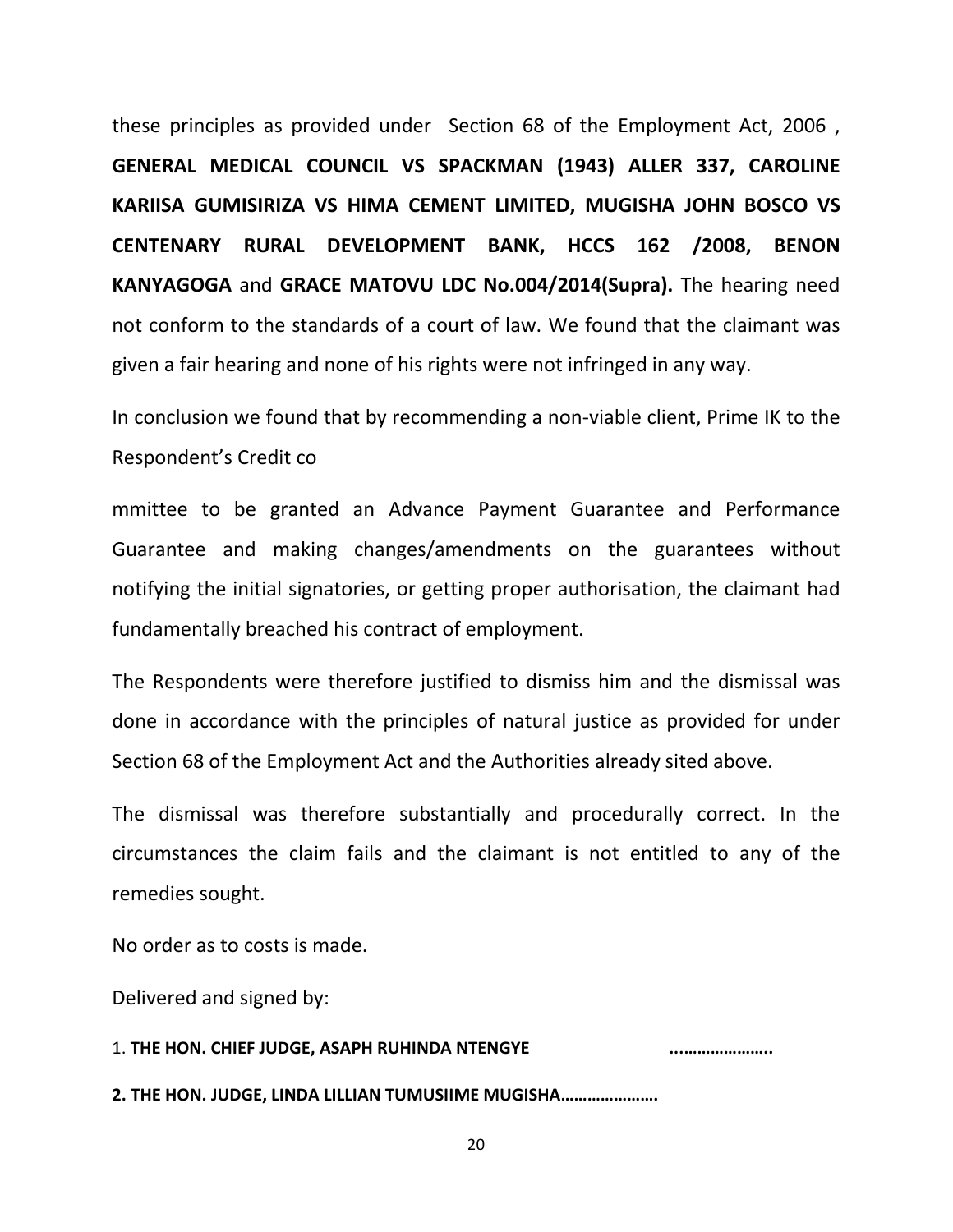these principles as provided under Section 68 of the Employment Act, 2006 , **GENERAL MEDICAL COUNCIL VS SPACKMAN (1943) ALLER 337, CAROLINE KARIISA GUMISIRIZA VS HIMA CEMENT LIMITED, MUGISHA JOHN BOSCO VS CENTENARY RURAL DEVELOPMENT BANK, HCCS 162 /2008, BENON KANYAGOGA** and **GRACE MATOVU LDC No.004/2014(Supra).** The hearing need not conform to the standards of a court of law. We found that the claimant was given a fair hearing and none of his rights were not infringed in any way.

In conclusion we found that by recommending a non-viable client, Prime IK to the Respondent's Credit co

mmittee to be granted an Advance Payment Guarantee and Performance Guarantee and making changes/amendments on the guarantees without notifying the initial signatories, or getting proper authorisation, the claimant had fundamentally breached his contract of employment.

The Respondents were therefore justified to dismiss him and the dismissal was done in accordance with the principles of natural justice as provided for under Section 68 of the Employment Act and the Authorities already sited above.

The dismissal was therefore substantially and procedurally correct. In the circumstances the claim fails and the claimant is not entitled to any of the remedies sought.

No order as to costs is made.

Delivered and signed by:

1. **THE HON. CHIEF JUDGE, ASAPH RUHINDA NTENGYE ...……………….. 2. THE HON. JUDGE, LINDA LILLIAN TUMUSIIME MUGISHA………………….**